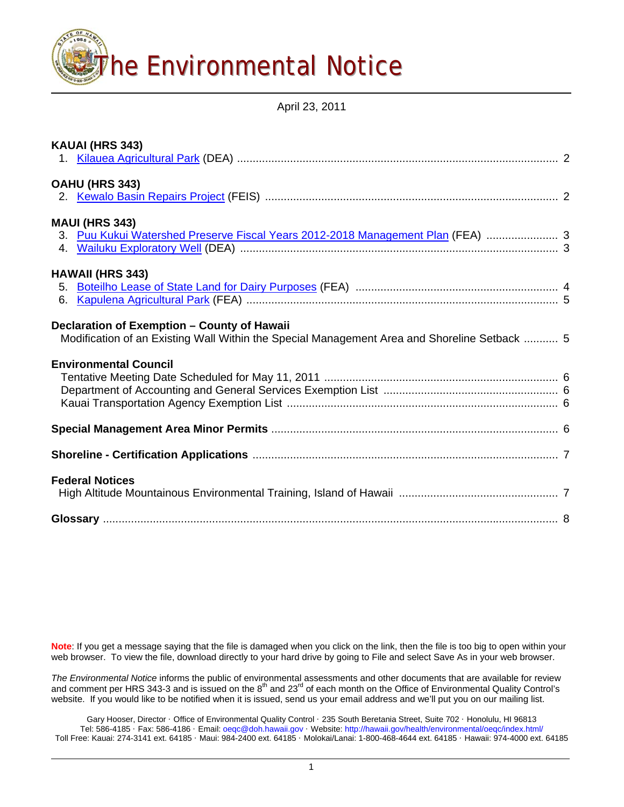

April 23, 2011

| KAUAI (HRS 343)                                                                                                                             |  |
|---------------------------------------------------------------------------------------------------------------------------------------------|--|
| OAHU (HRS 343)                                                                                                                              |  |
| <b>MAUI (HRS 343)</b><br>3. Puu Kukui Watershed Preserve Fiscal Years 2012-2018 Management Plan (FEA)  3                                    |  |
| <b>HAWAII (HRS 343)</b><br>6.                                                                                                               |  |
| Declaration of Exemption - County of Hawaii<br>Modification of an Existing Wall Within the Special Management Area and Shoreline Setback  5 |  |
| <b>Environmental Council</b>                                                                                                                |  |
|                                                                                                                                             |  |
|                                                                                                                                             |  |
| <b>Federal Notices</b>                                                                                                                      |  |
|                                                                                                                                             |  |

**Note**: If you get a message saying that the file is damaged when you click on the link, then the file is too big to open within your web browser. To view the file, download directly to your hard drive by going to File and select Save As in your web browser.

*The Environmental Notice* informs the public of environmental assessments and other documents that are available for review and comment per HRS 343-3 and is issued on the  $8^{th}$  and 23<sup>rd</sup> of each month on the Office of Environmental Quality Control's website. If you would like to be notified when it is issued, send us your email address and we'll put you on our mailing list.

Gary Hooser, Director · Office of Environmental Quality Control · 235 South Beretania Street, Suite 702 · Honolulu, HI 96813 Tel: 586-4185 · Fax: 586-4186 · Email: [oeqc@doh.hawaii.gov](mailto:oeqc@doh.hawaii.gov) · Website: <http://hawaii.gov/health/environmental/oeqc/index.html/> Toll Free: Kauai: 274-3141 ext. 64185 · Maui: 984-2400 ext. 64185 · Molokai/Lanai: 1-800-468-4644 ext. 64185 · Hawaii: 974-4000 ext. 64185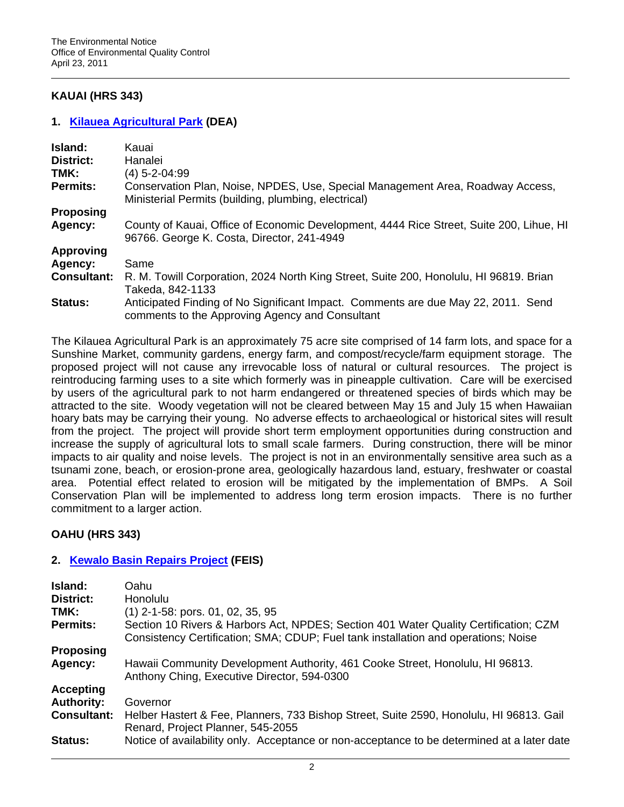# **KAUAI (HRS 343)**

## **1. [Kilauea Agricultural Park](http://oeqc.doh.hawaii.gov/Shared%20Documents/EA_and_EIS_Online_Library/Kauai/2010s/2011-04-23-KA-DEA-Kilauea-Ag-Park.pdf) (DEA)**

| Island:<br>District:        | Kauai<br>Hanalei                                                                                                                       |  |
|-----------------------------|----------------------------------------------------------------------------------------------------------------------------------------|--|
| TMK:                        | $(4)$ 5-2-04:99                                                                                                                        |  |
| <b>Permits:</b>             | Conservation Plan, Noise, NPDES, Use, Special Management Area, Roadway Access,<br>Ministerial Permits (building, plumbing, electrical) |  |
| <b>Proposing</b>            |                                                                                                                                        |  |
| Agency:                     | County of Kauai, Office of Economic Development, 4444 Rice Street, Suite 200, Lihue, HI<br>96766. George K. Costa, Director, 241-4949  |  |
| <b>Approving</b><br>Agency: | Same                                                                                                                                   |  |
| <b>Consultant:</b>          | R. M. Towill Corporation, 2024 North King Street, Suite 200, Honolulu, HI 96819. Brian<br>Takeda, 842-1133                             |  |
| Status:                     | Anticipated Finding of No Significant Impact. Comments are due May 22, 2011. Send<br>comments to the Approving Agency and Consultant   |  |

The Kilauea Agricultural Park is an approximately 75 acre site comprised of 14 farm lots, and space for a Sunshine Market, community gardens, energy farm, and compost/recycle/farm equipment storage. The proposed project will not cause any irrevocable loss of natural or cultural resources. The project is reintroducing farming uses to a site which formerly was in pineapple cultivation. Care will be exercised by users of the agricultural park to not harm endangered or threatened species of birds which may be attracted to the site. Woody vegetation will not be cleared between May 15 and July 15 when Hawaiian hoary bats may be carrying their young. No adverse effects to archaeological or historical sites will result from the project. The project will provide short term employment opportunities during construction and increase the supply of agricultural lots to small scale farmers. During construction, there will be minor impacts to air quality and noise levels. The project is not in an environmentally sensitive area such as a tsunami zone, beach, or erosion-prone area, geologically hazardous land, estuary, freshwater or coastal area. Potential effect related to erosion will be mitigated by the implementation of BMPs. A Soil Conservation Plan will be implemented to address long term erosion impacts. There is no further commitment to a larger action.

## **OAHU (HRS 343)**

## **2. [Kewalo Basin Repairs Project](http://oeqc.doh.hawaii.gov/Shared%20Documents/EA_and_EIS_Online_Library/Oahu/2010s/2011-04-23-OA-FEIS-Kewalo-Basin-Repairs.pdf) (FEIS)**

| Island:<br>District:<br>TMK:<br><b>Permits:</b> | Oahu<br>Honolulu<br>$(1)$ 2-1-58: pors. 01, 02, 35, 95<br>Section 10 Rivers & Harbors Act, NPDES; Section 401 Water Quality Certification; CZM<br>Consistency Certification; SMA; CDUP; Fuel tank installation and operations; Noise |
|-------------------------------------------------|--------------------------------------------------------------------------------------------------------------------------------------------------------------------------------------------------------------------------------------|
| <b>Proposing</b>                                | Hawaii Community Development Authority, 461 Cooke Street, Honolulu, HI 96813.                                                                                                                                                        |
| Agency:                                         | Anthony Ching, Executive Director, 594-0300                                                                                                                                                                                          |
| <b>Accepting</b>                                | Governor                                                                                                                                                                                                                             |
| <b>Authority:</b>                               | Helber Hastert & Fee, Planners, 733 Bishop Street, Suite 2590, Honolulu, HI 96813. Gail                                                                                                                                              |
| <b>Consultant:</b>                              | Renard, Project Planner, 545-2055                                                                                                                                                                                                    |
| <b>Status:</b>                                  | Notice of availability only. Acceptance or non-acceptance to be determined at a later date                                                                                                                                           |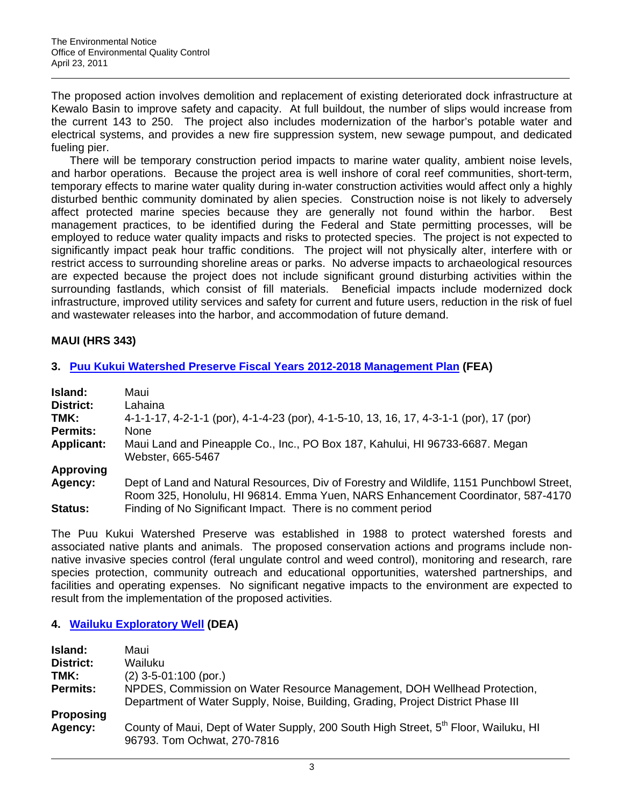The proposed action involves demolition and replacement of existing deteriorated dock infrastructure at Kewalo Basin to improve safety and capacity. At full buildout, the number of slips would increase from the current 143 to 250. The project also includes modernization of the harbor's potable water and electrical systems, and provides a new fire suppression system, new sewage pumpout, and dedicated fueling pier.

There will be temporary construction period impacts to marine water quality, ambient noise levels, and harbor operations. Because the project area is well inshore of coral reef communities, short-term, temporary effects to marine water quality during in-water construction activities would affect only a highly disturbed benthic community dominated by alien species. Construction noise is not likely to adversely affect protected marine species because they are generally not found within the harbor. Best management practices, to be identified during the Federal and State permitting processes, will be employed to reduce water quality impacts and risks to protected species. The project is not expected to significantly impact peak hour traffic conditions. The project will not physically alter, interfere with or restrict access to surrounding shoreline areas or parks. No adverse impacts to archaeological resources are expected because the project does not include significant ground disturbing activities within the surrounding fastlands, which consist of fill materials. Beneficial impacts include modernized dock infrastructure, improved utility services and safety for current and future users, reduction in the risk of fuel and wastewater releases into the harbor, and accommodation of future demand.

# **MAUI (HRS 343)**

## **3. [Puu Kukui Watershed Preserve Fiscal Years 2012-2018 Management Plan](http://oeqc.doh.hawaii.gov/Shared%20Documents/EA_and_EIS_Online_Library/Maui/2010s/2011-04-23-MA-FEA-Puu-Kukui-Watershed-Plan.pdf) (FEA)**

| <b>Island:</b>    | Maui                                                                                                                                                                        |
|-------------------|-----------------------------------------------------------------------------------------------------------------------------------------------------------------------------|
| <b>District:</b>  | Lahaina                                                                                                                                                                     |
| TMK:              | 4-1-1-17, 4-2-1-1 (por), 4-1-4-23 (por), 4-1-5-10, 13, 16, 17, 4-3-1-1 (por), 17 (por)                                                                                      |
| <b>Permits:</b>   | <b>None</b>                                                                                                                                                                 |
| <b>Applicant:</b> | Maui Land and Pineapple Co., Inc., PO Box 187, Kahului, HI 96733-6687. Megan<br>Webster, 665-5467                                                                           |
| <b>Approving</b>  |                                                                                                                                                                             |
| <b>Agency:</b>    | Dept of Land and Natural Resources, Div of Forestry and Wildlife, 1151 Punchbowl Street,<br>Room 325, Honolulu, HI 96814. Emma Yuen, NARS Enhancement Coordinator, 587-4170 |
| <b>Status:</b>    | Finding of No Significant Impact. There is no comment period                                                                                                                |

The Puu Kukui Watershed Preserve was established in 1988 to protect watershed forests and associated native plants and animals. The proposed conservation actions and programs include nonnative invasive species control (feral ungulate control and weed control), monitoring and research, rare species protection, community outreach and educational opportunities, watershed partnerships, and facilities and operating expenses. No significant negative impacts to the environment are expected to result from the implementation of the proposed activities.

## **4. [Wailuku Exploratory Well](http://oeqc.doh.hawaii.gov/Shared%20Documents/EA_and_EIS_Online_Library/Maui/2010s/2011-04-23-MA-DEA-Wailuku-Exploratory-Well.pdf) (DEA)**

| Island:          | Maui                                                                                                                                                         |
|------------------|--------------------------------------------------------------------------------------------------------------------------------------------------------------|
| District:        | Wailuku                                                                                                                                                      |
| TMK:             | $(2)$ 3-5-01:100 (por.)                                                                                                                                      |
| <b>Permits:</b>  | NPDES, Commission on Water Resource Management, DOH Wellhead Protection,<br>Department of Water Supply, Noise, Building, Grading, Project District Phase III |
| <b>Proposing</b> |                                                                                                                                                              |
| Agency:          | County of Maui, Dept of Water Supply, 200 South High Street, 5 <sup>th</sup> Floor, Wailuku, HI<br>96793. Tom Ochwat, 270-7816                               |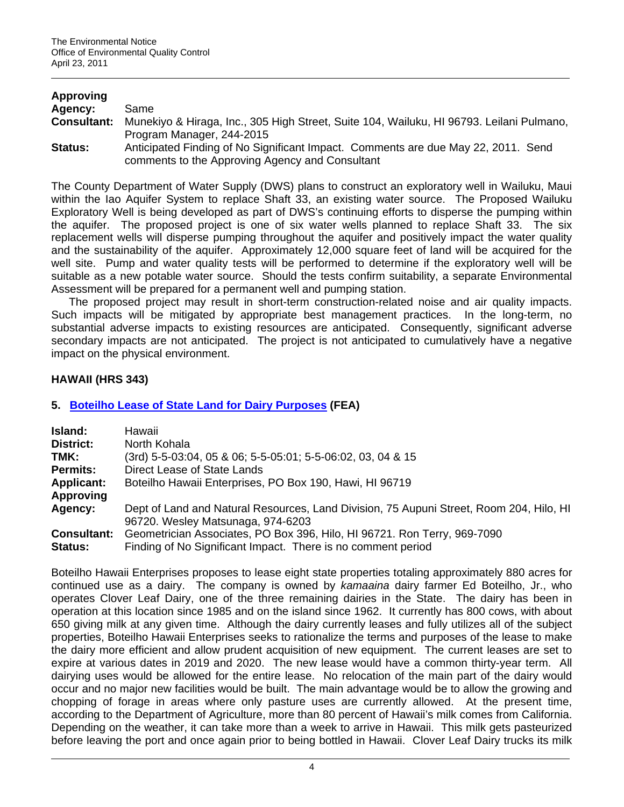| <b>Approving</b>   |                                                                                                                                      |
|--------------------|--------------------------------------------------------------------------------------------------------------------------------------|
| Agency:            | Same                                                                                                                                 |
| <b>Consultant:</b> | Munekiyo & Hiraga, Inc., 305 High Street, Suite 104, Wailuku, HI 96793. Leilani Pulmano,<br>Program Manager, 244-2015                |
| <b>Status:</b>     | Anticipated Finding of No Significant Impact. Comments are due May 22, 2011. Send<br>comments to the Approving Agency and Consultant |

The County Department of Water Supply (DWS) plans to construct an exploratory well in Wailuku, Maui within the Iao Aquifer System to replace Shaft 33, an existing water source. The Proposed Wailuku Exploratory Well is being developed as part of DWS's continuing efforts to disperse the pumping within the aquifer. The proposed project is one of six water wells planned to replace Shaft 33. The six replacement wells will disperse pumping throughout the aquifer and positively impact the water quality and the sustainability of the aquifer. Approximately 12,000 square feet of land will be acquired for the well site. Pump and water quality tests will be performed to determine if the exploratory well will be suitable as a new potable water source. Should the tests confirm suitability, a separate Environmental Assessment will be prepared for a permanent well and pumping station.

The proposed project may result in short-term construction-related noise and air quality impacts. Such impacts will be mitigated by appropriate best management practices. In the long-term, no substantial adverse impacts to existing resources are anticipated. Consequently, significant adverse secondary impacts are not anticipated. The project is not anticipated to cumulatively have a negative impact on the physical environment.

# **HAWAII (HRS 343)**

# **5. [Boteilho Lease of State Land for Dairy Purposes](http://oeqc.doh.hawaii.gov/Shared%20Documents/EA_and_EIS_Online_Library/Hawaii/2010s/2011-04-23-HA-FEA-Boteilho-Dairy-Lease.pdf) (FEA)**

| Island:            | Hawaii                                                                                                                       |  |  |
|--------------------|------------------------------------------------------------------------------------------------------------------------------|--|--|
| District:          | North Kohala                                                                                                                 |  |  |
| TMK:               | (3rd) 5-5-03:04, 05 & 06; 5-5-05:01; 5-5-06:02, 03, 04 & 15                                                                  |  |  |
| <b>Permits:</b>    | Direct Lease of State Lands                                                                                                  |  |  |
| <b>Applicant:</b>  | Boteilho Hawaii Enterprises, PO Box 190, Hawi, HI 96719                                                                      |  |  |
| <b>Approving</b>   |                                                                                                                              |  |  |
| Agency:            | Dept of Land and Natural Resources, Land Division, 75 Aupuni Street, Room 204, Hilo, HI<br>96720. Wesley Matsunaga, 974-6203 |  |  |
| <b>Consultant:</b> | Geometrician Associates, PO Box 396, Hilo, HI 96721. Ron Terry, 969-7090                                                     |  |  |
| <b>Status:</b>     | Finding of No Significant Impact. There is no comment period                                                                 |  |  |

Boteilho Hawaii Enterprises proposes to lease eight state properties totaling approximately 880 acres for continued use as a dairy. The company is owned by *kamaaina* dairy farmer Ed Boteilho, Jr., who operates Clover Leaf Dairy, one of the three remaining dairies in the State. The dairy has been in operation at this location since 1985 and on the island since 1962. It currently has 800 cows, with about 650 giving milk at any given time. Although the dairy currently leases and fully utilizes all of the subject properties, Boteilho Hawaii Enterprises seeks to rationalize the terms and purposes of the lease to make the dairy more efficient and allow prudent acquisition of new equipment. The current leases are set to expire at various dates in 2019 and 2020. The new lease would have a common thirty-year term. All dairying uses would be allowed for the entire lease. No relocation of the main part of the dairy would occur and no major new facilities would be built. The main advantage would be to allow the growing and chopping of forage in areas where only pasture uses are currently allowed. At the present time, according to the Department of Agriculture, more than 80 percent of Hawaii's milk comes from California. Depending on the weather, it can take more than a week to arrive in Hawaii. This milk gets pasteurized before leaving the port and once again prior to being bottled in Hawaii. Clover Leaf Dairy trucks its milk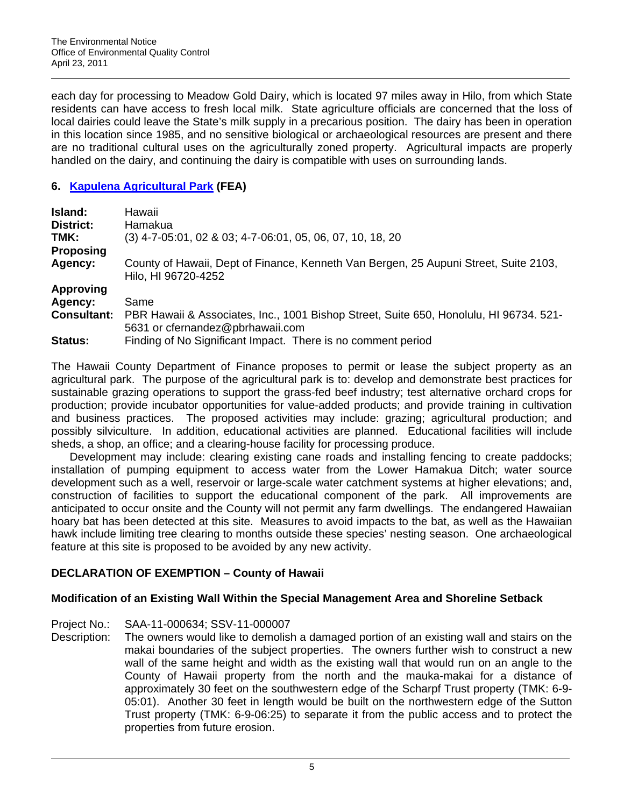each day for processing to Meadow Gold Dairy, which is located 97 miles away in Hilo, from which State residents can have access to fresh local milk. State agriculture officials are concerned that the loss of local dairies could leave the State's milk supply in a precarious position. The dairy has been in operation in this location since 1985, and no sensitive biological or archaeological resources are present and there are no traditional cultural uses on the agriculturally zoned property. Agricultural impacts are properly handled on the dairy, and continuing the dairy is compatible with uses on surrounding lands.

# **6. [Kapulena Agricultural Park](http://oeqc.doh.hawaii.gov/Shared%20Documents/EA_and_EIS_Online_Library/Hawaii/2010s/2011-04-23-HA-FEA-Kapulena-Ag-Park.pdf) (FEA)**

| Island:            | Hawaii                                                                                                                     |
|--------------------|----------------------------------------------------------------------------------------------------------------------------|
| District:          | Hamakua                                                                                                                    |
| TMK:               | $(3)$ 4-7-05:01, 02 & 03; 4-7-06:01, 05, 06, 07, 10, 18, 20                                                                |
| <b>Proposing</b>   |                                                                                                                            |
| Agency:            | County of Hawaii, Dept of Finance, Kenneth Van Bergen, 25 Aupuni Street, Suite 2103,<br>Hilo, HI 96720-4252                |
| <b>Approving</b>   |                                                                                                                            |
| Agency:            | Same                                                                                                                       |
| <b>Consultant:</b> | PBR Hawaii & Associates, Inc., 1001 Bishop Street, Suite 650, Honolulu, HI 96734. 521-<br>5631 or cfernandez@pbrhawaii.com |
| Status:            | Finding of No Significant Impact. There is no comment period                                                               |

The Hawaii County Department of Finance proposes to permit or lease the subject property as an agricultural park. The purpose of the agricultural park is to: develop and demonstrate best practices for sustainable grazing operations to support the grass-fed beef industry; test alternative orchard crops for production; provide incubator opportunities for value-added products; and provide training in cultivation and business practices. The proposed activities may include: grazing; agricultural production; and possibly silviculture. In addition, educational activities are planned. Educational facilities will include sheds, a shop, an office; and a clearing-house facility for processing produce.

Development may include: clearing existing cane roads and installing fencing to create paddocks; installation of pumping equipment to access water from the Lower Hamakua Ditch; water source development such as a well, reservoir or large-scale water catchment systems at higher elevations; and, construction of facilities to support the educational component of the park. All improvements are anticipated to occur onsite and the County will not permit any farm dwellings. The endangered Hawaiian hoary bat has been detected at this site. Measures to avoid impacts to the bat, as well as the Hawaiian hawk include limiting tree clearing to months outside these species' nesting season. One archaeological feature at this site is proposed to be avoided by any new activity.

# **DECLARATION OF EXEMPTION – County of Hawaii**

## **Modification of an Existing Wall Within the Special Management Area and Shoreline Setback**

- Project No.: SAA-11-000634; SSV-11-000007
- Description: The owners would like to demolish a damaged portion of an existing wall and stairs on the makai boundaries of the subject properties. The owners further wish to construct a new wall of the same height and width as the existing wall that would run on an angle to the County of Hawaii property from the north and the mauka-makai for a distance of approximately 30 feet on the southwestern edge of the Scharpf Trust property (TMK: 6-9- 05:01). Another 30 feet in length would be built on the northwestern edge of the Sutton Trust property (TMK: 6-9-06:25) to separate it from the public access and to protect the properties from future erosion.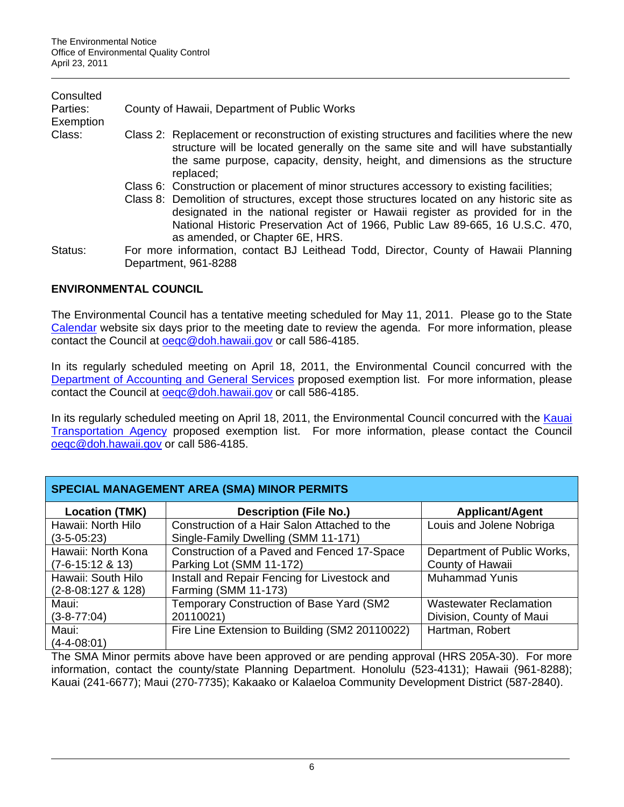| Consulted<br>Parties:<br>Exemption | County of Hawaii, Department of Public Works                                                                                                                                                                                                                                                                                                                                                |  |  |  |  |
|------------------------------------|---------------------------------------------------------------------------------------------------------------------------------------------------------------------------------------------------------------------------------------------------------------------------------------------------------------------------------------------------------------------------------------------|--|--|--|--|
| Class:                             | Class 2: Replacement or reconstruction of existing structures and facilities where the new<br>structure will be located generally on the same site and will have substantially<br>the same purpose, capacity, density, height, and dimensions as the structure<br>replaced;                                                                                                                 |  |  |  |  |
|                                    | Class 6: Construction or placement of minor structures accessory to existing facilities;<br>Class 8: Demolition of structures, except those structures located on any historic site as<br>designated in the national register or Hawaii register as provided for in the<br>National Historic Preservation Act of 1966, Public Law 89-665, 16 U.S.C. 470,<br>as amended, or Chapter 6E, HRS. |  |  |  |  |
| Status:                            | For more information, contact BJ Leithead Todd, Director, County of Hawaii Planning<br>Department, 961-8288                                                                                                                                                                                                                                                                                 |  |  |  |  |

# **ENVIRONMENTAL COUNCIL**

The Environmental Council has a tentative meeting scheduled for May 11, 2011. Please go to the State [Calendar](http://calendar.ehawaii.gov/calendar/html/event) website six days prior to the meeting date to review the agenda. For more information, please contact the Council at [oeqc@doh.hawaii.gov](mailto:oeqc@doh.hawaii.gov) or call 586-4185.

In its regularly scheduled meeting on April 18, 2011, the Environmental Council concurred with the [Department of Accounting and General Services](http://oeqc.doh.hawaii.gov/Shared%20Documents/Environmental_Council/Exemption_Lists_By_Department/State_Agencies/Dept-of-Accounting-and-General-Services-04-11.pdf) proposed exemption list. For more information, please contact the Council at [oeqc@doh.hawaii.gov](mailto:oeqc@doh.hawaii.gov) or call 586-4185.

In its regularly scheduled meeting on April 18, 2011, the Environmental Council concurred with the Kauai [Transportation Agency](http://oeqc.doh.hawaii.gov/Shared%20Documents/Environmental_Council/Exemption_Lists_By_Department/County_of_Kauai/Kauai-Transportation-Agency-04-11.pdf) proposed exemption list. For more information, please contact the Council [oeqc@doh.hawaii.gov](mailto:oeqc@doh.hawaii.gov) or call 586-4185.

| <b>SPECIAL MANAGEMENT AREA (SMA) MINOR PERMITS</b> |                                                |                               |  |
|----------------------------------------------------|------------------------------------------------|-------------------------------|--|
| <b>Location (TMK)</b>                              | <b>Description (File No.)</b>                  | <b>Applicant/Agent</b>        |  |
| Hawaii: North Hilo                                 | Construction of a Hair Salon Attached to the   | Louis and Jolene Nobriga      |  |
| $(3-5-05:23)$                                      | Single-Family Dwelling (SMM 11-171)            |                               |  |
| Hawaii: North Kona                                 | Construction of a Paved and Fenced 17-Space    | Department of Public Works,   |  |
| $(7-6-15:12 \& 13)$                                | Parking Lot (SMM 11-172)                       | County of Hawaii              |  |
| Hawaii: South Hilo                                 | Install and Repair Fencing for Livestock and   | <b>Muhammad Yunis</b>         |  |
| $(2-8-08:127$ & 128)                               | Farming (SMM 11-173)                           |                               |  |
| Maui:                                              | Temporary Construction of Base Yard (SM2       | <b>Wastewater Reclamation</b> |  |
| $(3 - 8 - 77:04)$                                  | 20110021)                                      | Division, County of Maui      |  |
| Maui:                                              | Fire Line Extension to Building (SM2 20110022) | Hartman, Robert               |  |
| $(4 - 4 - 08:01)$                                  |                                                |                               |  |

The SMA Minor permits above have been approved or are pending approval (HRS 205A-30). For more information, contact the county/state Planning Department. Honolulu (523-4131); Hawaii (961-8288); Kauai (241-6677); Maui (270-7735); Kakaako or Kalaeloa Community Development District (587-2840).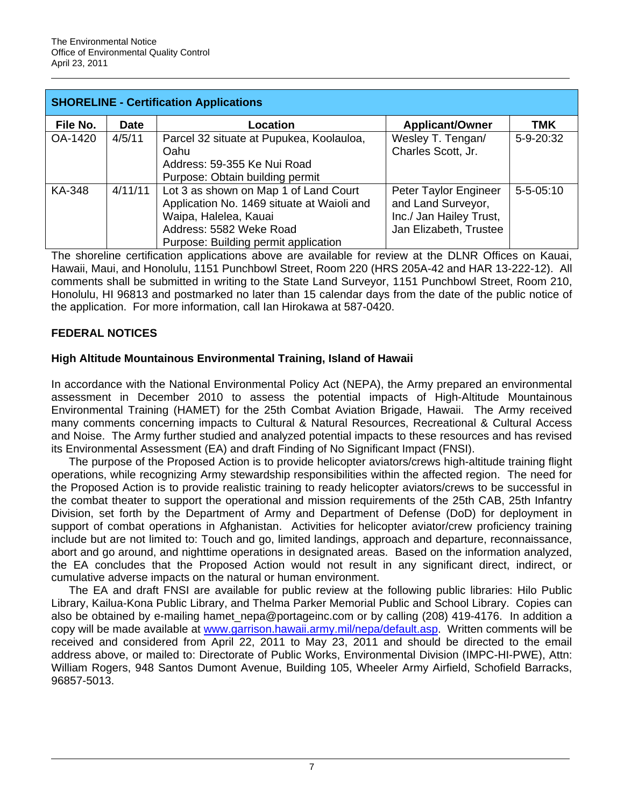| <b>SHORELINE - Certification Applications</b> |             |                                                                                                                                                                                 |                                                                                                  |                 |
|-----------------------------------------------|-------------|---------------------------------------------------------------------------------------------------------------------------------------------------------------------------------|--------------------------------------------------------------------------------------------------|-----------------|
| File No.                                      | <b>Date</b> | Location                                                                                                                                                                        | <b>Applicant/Owner</b>                                                                           | <b>TMK</b>      |
| OA-1420                                       | 4/5/11      | Parcel 32 situate at Pupukea, Koolauloa,<br>Oahu<br>Address: 59-355 Ke Nui Road<br>Purpose: Obtain building permit                                                              | Wesley T. Tengan/<br>Charles Scott, Jr.                                                          | 5-9-20:32       |
| <b>KA-348</b>                                 | 4/11/11     | Lot 3 as shown on Map 1 of Land Court<br>Application No. 1469 situate at Waioli and<br>Waipa, Halelea, Kauai<br>Address: 5582 Weke Road<br>Purpose: Building permit application | Peter Taylor Engineer<br>and Land Surveyor,<br>Inc./ Jan Hailey Trust,<br>Jan Elizabeth, Trustee | $5 - 5 - 05:10$ |

The shoreline certification applications above are available for review at the DLNR Offices on Kauai, Hawaii, Maui, and Honolulu, 1151 Punchbowl Street, Room 220 (HRS 205A-42 and HAR 13-222-12). All comments shall be submitted in writing to the State Land Surveyor, 1151 Punchbowl Street, Room 210, Honolulu, HI 96813 and postmarked no later than 15 calendar days from the date of the public notice of the application. For more information, call Ian Hirokawa at 587-0420.

# **FEDERAL NOTICES**

# **High Altitude Mountainous Environmental Training, Island of Hawaii**

In accordance with the National Environmental Policy Act (NEPA), the Army prepared an environmental assessment in December 2010 to assess the potential impacts of High-Altitude Mountainous Environmental Training (HAMET) for the 25th Combat Aviation Brigade, Hawaii. The Army received many comments concerning impacts to Cultural & Natural Resources, Recreational & Cultural Access and Noise. The Army further studied and analyzed potential impacts to these resources and has revised its Environmental Assessment (EA) and draft Finding of No Significant Impact (FNSI).

The purpose of the Proposed Action is to provide helicopter aviators/crews high-altitude training flight operations, while recognizing Army stewardship responsibilities within the affected region. The need for the Proposed Action is to provide realistic training to ready helicopter aviators/crews to be successful in the combat theater to support the operational and mission requirements of the 25th CAB, 25th Infantry Division, set forth by the Department of Army and Department of Defense (DoD) for deployment in support of combat operations in Afghanistan. Activities for helicopter aviator/crew proficiency training include but are not limited to: Touch and go, limited landings, approach and departure, reconnaissance, abort and go around, and nighttime operations in designated areas. Based on the information analyzed, the EA concludes that the Proposed Action would not result in any significant direct, indirect, or cumulative adverse impacts on the natural or human environment.

The EA and draft FNSI are available for public review at the following public libraries: Hilo Public Library, Kailua-Kona Public Library, and Thelma Parker Memorial Public and School Library. Copies can also be obtained by e-mailing hamet\_nepa@portageinc.com or by calling (208) 419-4176. In addition a copy will be made available at [www.garrison.hawaii.army.mil/nepa/default.asp.](www.garrison.hawaii.army.mil/nepa/default.asp) Written comments will be received and considered from April 22, 2011 to May 23, 2011 and should be directed to the email address above, or mailed to: Directorate of Public Works, Environmental Division (IMPC-HI-PWE), Attn: William Rogers, 948 Santos Dumont Avenue, Building 105, Wheeler Army Airfield, Schofield Barracks, 96857-5013.